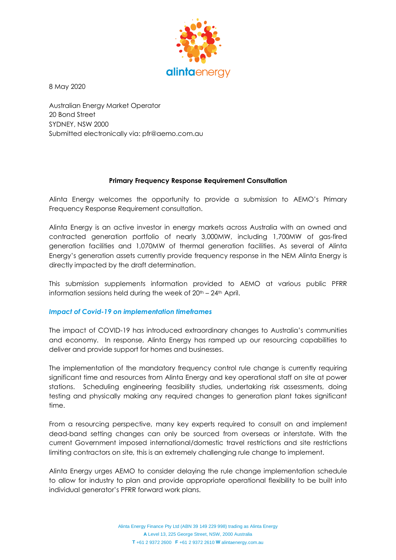

8 May 2020

Australian Energy Market Operator 20 Bond Street SYDNEY, NSW 2000 Submitted electronically via: pfr@aemo.com.au

### **Primary Frequency Response Requirement Consultation**

Alinta Energy welcomes the opportunity to provide a submission to AEMO's Primary Frequency Response Requirement consultation.

Alinta Energy is an active investor in energy markets across Australia with an owned and contracted generation portfolio of nearly 3,000MW, including 1,700MW of gas-fired generation facilities and 1,070MW of thermal generation facilities. As several of Alinta Energy's generation assets currently provide frequency response in the NEM Alinta Energy is directly impacted by the draft determination.

This submission supplements information provided to AEMO at various public PFRR information sessions held during the week of 20<sup>th</sup> – 24<sup>th</sup> April.

## *Impact of Covid-19 on implementation timeframes*

The impact of COVID-19 has introduced extraordinary changes to Australia's communities and economy. In response, Alinta Energy has ramped up our resourcing capabilities to deliver and provide support for homes and businesses.

The implementation of the mandatory frequency control rule change is currently requiring significant time and resources from Alinta Energy and key operational staff on site at power stations. Scheduling engineering feasibility studies, undertaking risk assessments, doing testing and physically making any required changes to generation plant takes significant time.

From a resourcing perspective, many key experts required to consult on and implement dead-band setting changes can only be sourced from overseas or interstate. With the current Government imposed international/domestic travel restrictions and site restrictions limiting contractors on site, this is an extremely challenging rule change to implement.

Alinta Energy urges AEMO to consider delaying the rule change implementation schedule to allow for industry to plan and provide appropriate operational flexibility to be built into individual generator's PFRR forward work plans.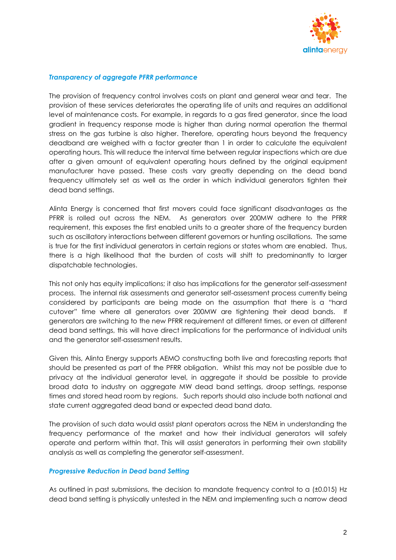

### *Transparency of aggregate PFRR performance*

The provision of frequency control involves costs on plant and general wear and tear. The provision of these services deteriorates the operating life of units and requires an additional level of maintenance costs. For example, in regards to a gas fired generator, since the load gradient in frequency response mode is higher than during normal operation the thermal stress on the gas turbine is also higher. Therefore, operating hours beyond the frequency deadband are weighed with a factor greater than 1 in order to calculate the equivalent operating hours. This will reduce the interval time between regular inspections which are due after a given amount of equivalent operating hours defined by the original equipment manufacturer have passed. These costs vary greatly depending on the dead band frequency ultimately set as well as the order in which individual generators tighten their dead band settings.

Alinta Energy is concerned that first movers could face significant disadvantages as the PFRR is rolled out across the NEM. As generators over 200MW adhere to the PFRR requirement, this exposes the first enabled units to a greater share of the frequency burden such as oscillatory interactions between different governors or hunting oscillations. The same is true for the first individual generators in certain regions or states whom are enabled. Thus, there is a high likelihood that the burden of costs will shift to predominantly to larger dispatchable technologies.

This not only has equity implications; it also has implications for the generator self-assessment process. The internal risk assessments and generator self-assessment process currently being considered by participants are being made on the assumption that there is a "hard cutover" time where all generators over 200MW are tightening their dead bands. If generators are switching to the new PFRR requirement at different times, or even at different dead band settings, this will have direct implications for the performance of individual units and the generator self-assessment results.

Given this, Alinta Energy supports AEMO constructing both live and forecasting reports that should be presented as part of the PFRR obligation. Whilst this may not be possible due to privacy at the individual generator level, in aggregate it should be possible to provide broad data to industry on aggregate MW dead band settings, droop settings, response times and stored head room by regions. Such reports should also include both national and state current aggregated dead band or expected dead band data.

The provision of such data would assist plant operators across the NEM in understanding the frequency performance of the market and how their individual generators will safely operate and perform within that. This will assist generators in performing their own stability analysis as well as completing the generator self-assessment.

#### *Progressive Reduction in Dead band Setting*

As outlined in past submissions, the decision to mandate frequency control to a (±0.015) Hz dead band setting is physically untested in the NEM and implementing such a narrow dead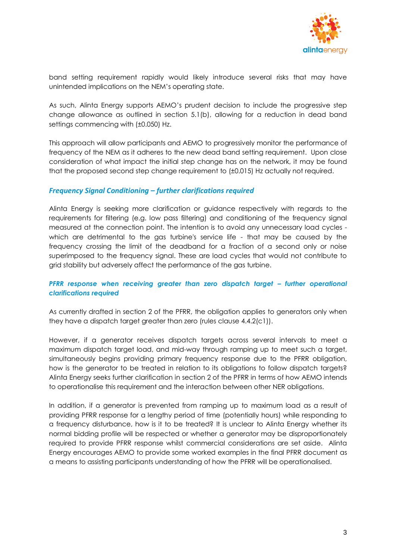

band setting requirement rapidly would likely introduce several risks that may have unintended implications on the NEM's operating state.

As such, Alinta Energy supports AEMO's prudent decision to include the progressive step change allowance as outlined in section 5.1(b), allowing for a reduction in dead band settings commencing with (±0.050) Hz.

This approach will allow participants and AEMO to progressively monitor the performance of frequency of the NEM as it adheres to the new dead band setting requirement. Upon close consideration of what impact the initial step change has on the network, it may be found that the proposed second step change requirement to (±0.015) Hz actually not required.

## *Frequency Signal Conditioning – further clarifications required*

Alinta Energy is seeking more clarification or guidance respectively with regards to the requirements for filtering (e.g. low pass filtering) and conditioning of the frequency signal measured at the connection point. The intention is to avoid any unnecessary load cycles which are detrimental to the gas turbine's service life - that may be caused by the frequency crossing the limit of the deadband for a fraction of a second only or noise superimposed to the frequency signal. These are load cycles that would not contribute to grid stability but adversely affect the performance of the gas turbine.

## *PFRR response when receiving greater than zero dispatch target – further operational clarifications required*

As currently drafted in section 2 of the PFRR, the obligation applies to generators only when they have a dispatch target greater than zero (rules clause 4.4.2(c1)).

However, if a generator receives dispatch targets across several intervals to meet a maximum dispatch target load, and mid-way through ramping up to meet such a target, simultaneously begins providing primary frequency response due to the PFRR obligation, how is the generator to be treated in relation to its obligations to follow dispatch targets? Alinta Energy seeks further clarification in section 2 of the PFRR in terms of how AEMO intends to operationalise this requirement and the interaction between other NER obligations.

In addition, if a generator is prevented from ramping up to maximum load as a result of providing PFRR response for a lengthy period of time (potentially hours) while responding to a frequency disturbance, how is it to be treated? It is unclear to Alinta Energy whether its normal bidding profile will be respected or whether a generator may be disproportionately required to provide PFRR response whilst commercial considerations are set aside. Alinta Energy encourages AEMO to provide some worked examples in the final PFRR document as a means to assisting participants understanding of how the PFRR will be operationalised.